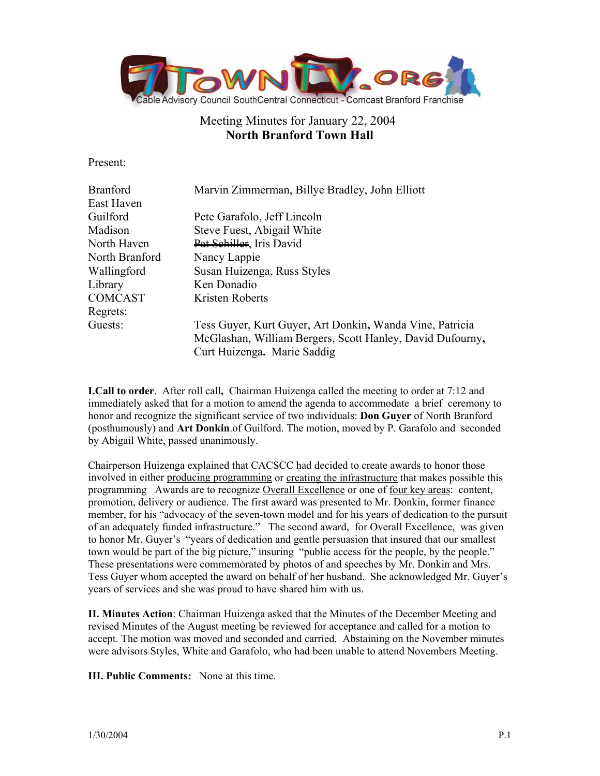

# Meeting Minutes for January 22, 2004 **North Branford Town Hall**

Present:

| <b>Branford</b> | Marvin Zimmerman, Billye Bradley, John Elliott            |
|-----------------|-----------------------------------------------------------|
| East Haven      |                                                           |
| Guilford        | Pete Garafolo, Jeff Lincoln                               |
| Madison         | Steve Fuest, Abigail White                                |
| North Haven     | Pat Schiller, Iris David                                  |
| North Branford  | Nancy Lappie                                              |
| Wallingford     | Susan Huizenga, Russ Styles                               |
| Library         | Ken Donadio                                               |
| <b>COMCAST</b>  | Kristen Roberts                                           |
| Regrets:        |                                                           |
| Guests:         | Tess Guyer, Kurt Guyer, Art Donkin, Wanda Vine, Patricia  |
|                 | McGlashan, William Bergers, Scott Hanley, David Dufourny, |
|                 | Curt Huizenga. Marie Saddig                               |

**I.Call to order**. After roll call**,** Chairman Huizenga called the meeting to order at 7:12 and immediately asked that for a motion to amend the agenda to accommodate a brief ceremony to honor and recognize the significant service of two individuals: **Don Guyer** of North Branford (posthumously) and **Art Donkin**.of Guilford. The motion, moved by P. Garafolo and seconded by Abigail White, passed unanimously.

Chairperson Huizenga explained that CACSCC had decided to create awards to honor those involved in either producing programming or creating the infrastructure that makes possible this programming Awards are to recognize Overall Excellence or one of four key areas: content, promotion, delivery or audience. The first award was presented to Mr. Donkin, former finance member, for his "advocacy of the seven-town model and for his years of dedication to the pursuit of an adequately funded infrastructure." The second award, for Overall Excellence, was given to honor Mr. Guyer's "years of dedication and gentle persuasion that insured that our smallest town would be part of the big picture," insuring "public access for the people, by the people." These presentations were commemorated by photos of and speeches by Mr. Donkin and Mrs. Tess Guyer whom accepted the award on behalf of her husband. She acknowledged Mr. Guyer's years of services and she was proud to have shared him with us.

**II. Minutes Action**: Chairman Huizenga asked that the Minutes of the December Meeting and revised Minutes of the August meeting be reviewed for acceptance and called for a motion to accept. The motion was moved and seconded and carried. Abstaining on the November minutes were advisors Styles, White and Garafolo, who had been unable to attend Novembers Meeting.

**III. Public Comments:** None at this time.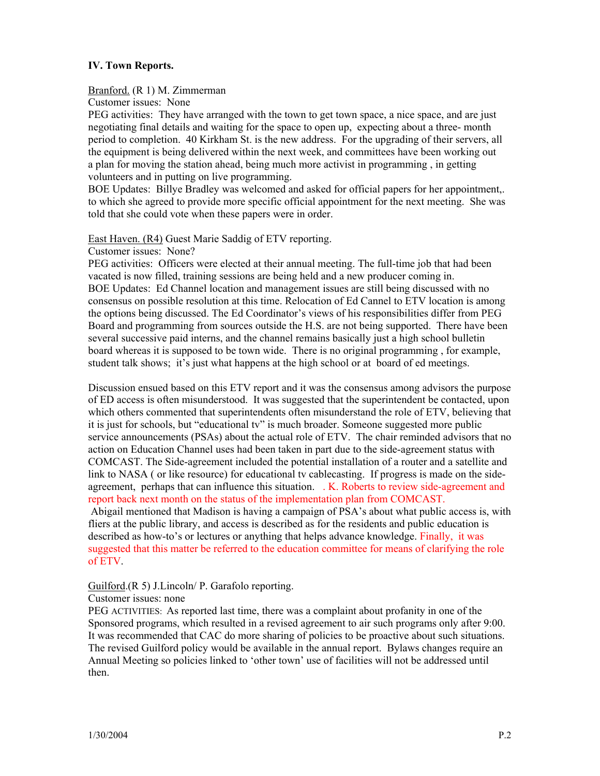# **IV. Town Reports.**

#### Branford. (R 1) M. Zimmerman

Customer issues: None

PEG activities: They have arranged with the town to get town space, a nice space, and are just negotiating final details and waiting for the space to open up, expecting about a three- month period to completion. 40 Kirkham St. is the new address. For the upgrading of their servers, all the equipment is being delivered within the next week, and committees have been working out a plan for moving the station ahead, being much more activist in programming , in getting volunteers and in putting on live programming.

BOE Updates: Billye Bradley was welcomed and asked for official papers for her appointment,. to which she agreed to provide more specific official appointment for the next meeting. She was told that she could vote when these papers were in order.

East Haven. (R4) Guest Marie Saddig of ETV reporting.

Customer issues: None?

PEG activities: Officers were elected at their annual meeting. The full-time job that had been vacated is now filled, training sessions are being held and a new producer coming in. BOE Updates: Ed Channel location and management issues are still being discussed with no consensus on possible resolution at this time. Relocation of Ed Cannel to ETV location is among the options being discussed. The Ed Coordinator's views of his responsibilities differ from PEG Board and programming from sources outside the H.S. are not being supported. There have been several successive paid interns, and the channel remains basically just a high school bulletin board whereas it is supposed to be town wide. There is no original programming , for example, student talk shows; it's just what happens at the high school or at board of ed meetings.

Discussion ensued based on this ETV report and it was the consensus among advisors the purpose of ED access is often misunderstood. It was suggested that the superintendent be contacted, upon which others commented that superintendents often misunderstand the role of ETV, believing that it is just for schools, but "educational tv" is much broader. Someone suggested more public service announcements (PSAs) about the actual role of ETV. The chair reminded advisors that no action on Education Channel uses had been taken in part due to the side-agreement status with COMCAST. The Side-agreement included the potential installation of a router and a satellite and link to NASA ( or like resource) for educational tv cablecasting. If progress is made on the sideagreement, perhaps that can influence this situation. . K. Roberts to review side-agreement and report back next month on the status of the implementation plan from COMCAST.

 Abigail mentioned that Madison is having a campaign of PSA's about what public access is, with fliers at the public library, and access is described as for the residents and public education is described as how-to's or lectures or anything that helps advance knowledge. Finally, it was suggested that this matter be referred to the education committee for means of clarifying the role of ETV.

## Guilford.(R 5) J.Lincoln/ P. Garafolo reporting.

## Customer issues: none

PEG ACTIVITIES: As reported last time, there was a complaint about profanity in one of the Sponsored programs, which resulted in a revised agreement to air such programs only after 9:00. It was recommended that CAC do more sharing of policies to be proactive about such situations. The revised Guilford policy would be available in the annual report. Bylaws changes require an Annual Meeting so policies linked to 'other town' use of facilities will not be addressed until then.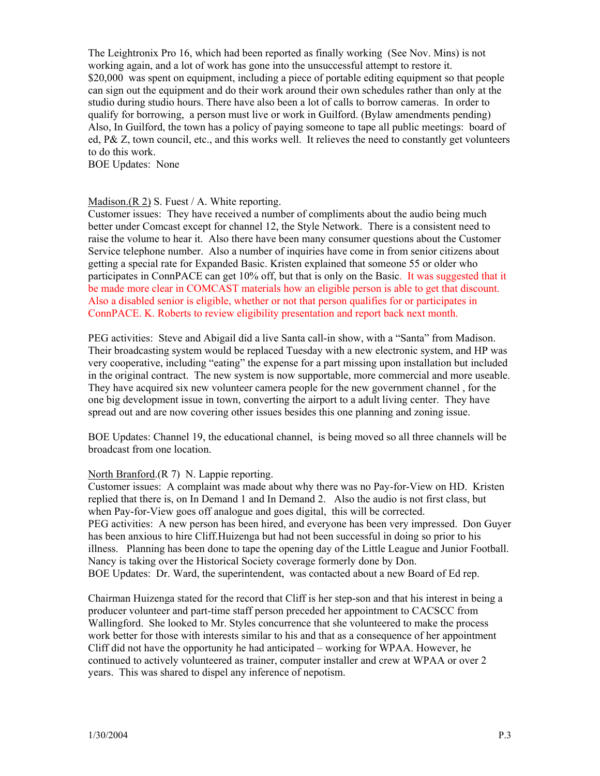The Leightronix Pro 16, which had been reported as finally working (See Nov. Mins) is not working again, and a lot of work has gone into the unsuccessful attempt to restore it. \$20,000 was spent on equipment, including a piece of portable editing equipment so that people can sign out the equipment and do their work around their own schedules rather than only at the studio during studio hours. There have also been a lot of calls to borrow cameras. In order to qualify for borrowing, a person must live or work in Guilford. (Bylaw amendments pending) Also, In Guilford, the town has a policy of paying someone to tape all public meetings: board of ed, P& Z, town council, etc., and this works well. It relieves the need to constantly get volunteers to do this work.

BOE Updates: None

#### Madison.(R 2) S. Fuest / A. White reporting.

Customer issues: They have received a number of compliments about the audio being much better under Comcast except for channel 12, the Style Network. There is a consistent need to raise the volume to hear it. Also there have been many consumer questions about the Customer Service telephone number. Also a number of inquiries have come in from senior citizens about getting a special rate for Expanded Basic. Kristen explained that someone 55 or older who participates in ConnPACE can get 10% off, but that is only on the Basic. It was suggested that it be made more clear in COMCAST materials how an eligible person is able to get that discount. Also a disabled senior is eligible, whether or not that person qualifies for or participates in ConnPACE. K. Roberts to review eligibility presentation and report back next month.

PEG activities: Steve and Abigail did a live Santa call-in show, with a "Santa" from Madison. Their broadcasting system would be replaced Tuesday with a new electronic system, and HP was very cooperative, including "eating" the expense for a part missing upon installation but included in the original contract. The new system is now supportable, more commercial and more useable. They have acquired six new volunteer camera people for the new government channel , for the one big development issue in town, converting the airport to a adult living center. They have spread out and are now covering other issues besides this one planning and zoning issue.

BOE Updates: Channel 19, the educational channel, is being moved so all three channels will be broadcast from one location.

#### North Branford.(R 7) N. Lappie reporting.

Customer issues: A complaint was made about why there was no Pay-for-View on HD. Kristen replied that there is, on In Demand 1 and In Demand 2. Also the audio is not first class, but when Pay-for-View goes off analogue and goes digital, this will be corrected. PEG activities: A new person has been hired, and everyone has been very impressed. Don Guyer has been anxious to hire Cliff.Huizenga but had not been successful in doing so prior to his illness. Planning has been done to tape the opening day of the Little League and Junior Football. Nancy is taking over the Historical Society coverage formerly done by Don. BOE Updates: Dr. Ward, the superintendent, was contacted about a new Board of Ed rep.

Chairman Huizenga stated for the record that Cliff is her step-son and that his interest in being a producer volunteer and part-time staff person preceded her appointment to CACSCC from Wallingford. She looked to Mr. Styles concurrence that she volunteered to make the process work better for those with interests similar to his and that as a consequence of her appointment Cliff did not have the opportunity he had anticipated – working for WPAA. However, he continued to actively volunteered as trainer, computer installer and crew at WPAA or over 2 years. This was shared to dispel any inference of nepotism.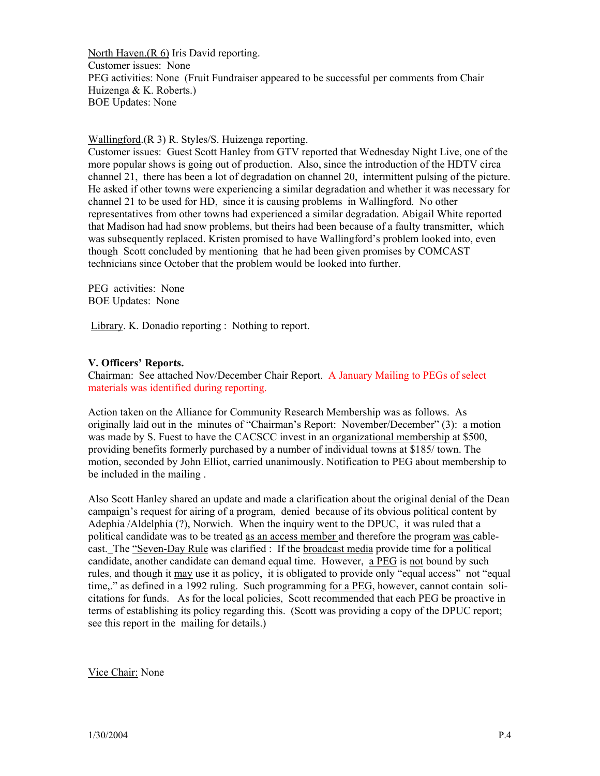North Haven.(R 6) Iris David reporting. Customer issues: None PEG activities: None (Fruit Fundraiser appeared to be successful per comments from Chair Huizenga & K. Roberts.) BOE Updates: None

Wallingford.(R 3) R. Styles/S. Huizenga reporting.

Customer issues: Guest Scott Hanley from GTV reported that Wednesday Night Live, one of the more popular shows is going out of production. Also, since the introduction of the HDTV circa channel 21, there has been a lot of degradation on channel 20, intermittent pulsing of the picture. He asked if other towns were experiencing a similar degradation and whether it was necessary for channel 21 to be used for HD, since it is causing problems in Wallingford. No other representatives from other towns had experienced a similar degradation. Abigail White reported that Madison had had snow problems, but theirs had been because of a faulty transmitter, which was subsequently replaced. Kristen promised to have Wallingford's problem looked into, even though Scott concluded by mentioning that he had been given promises by COMCAST technicians since October that the problem would be looked into further.

PEG activities: None BOE Updates: None

Library. K. Donadio reporting : Nothing to report.

## **V. Officers' Reports.**

Chairman: See attached Nov/December Chair Report. A January Mailing to PEGs of select materials was identified during reporting.

Action taken on the Alliance for Community Research Membership was as follows. As originally laid out in the minutes of "Chairman's Report: November/December" (3): a motion was made by S. Fuest to have the CACSCC invest in an organizational membership at \$500, providing benefits formerly purchased by a number of individual towns at \$185/ town. The motion, seconded by John Elliot, carried unanimously. Notification to PEG about membership to be included in the mailing .

Also Scott Hanley shared an update and made a clarification about the original denial of the Dean campaign's request for airing of a program, denied because of its obvious political content by Adephia /Aldelphia (?), Norwich. When the inquiry went to the DPUC, it was ruled that a political candidate was to be treated as an access member and therefore the program was cablecast. The "Seven-Day Rule was clarified : If the broadcast media provide time for a political candidate, another candidate can demand equal time. However, a PEG is not bound by such rules, and though it may use it as policy, it is obligated to provide only "equal access" not "equal time,." as defined in a 1992 ruling. Such programming for a PEG, however, cannot contain solicitations for funds. As for the local policies, Scott recommended that each PEG be proactive in terms of establishing its policy regarding this. (Scott was providing a copy of the DPUC report; see this report in the mailing for details.)

Vice Chair: None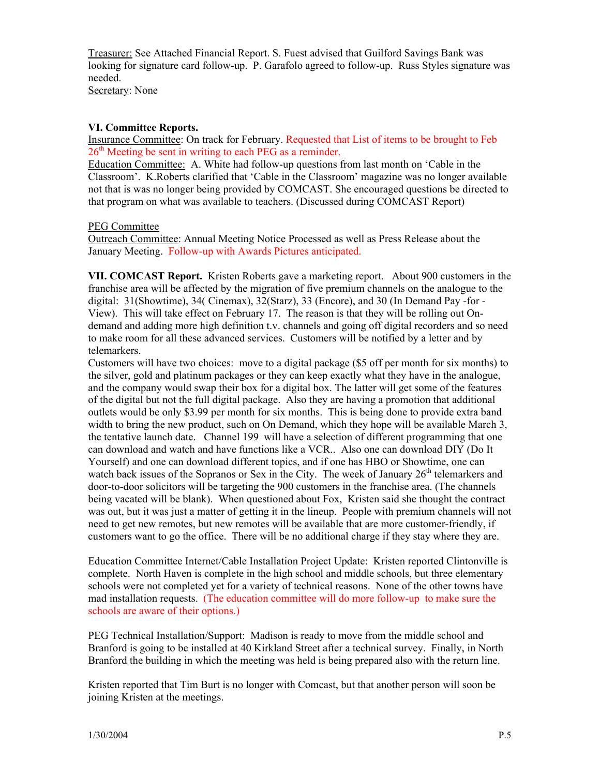Treasurer: See Attached Financial Report. S. Fuest advised that Guilford Savings Bank was looking for signature card follow-up. P. Garafolo agreed to follow-up. Russ Styles signature was needed. Secretary: None

# **VI. Committee Reports.**

Insurance Committee: On track for February. Requested that List of items to be brought to Feb  $26<sup>th</sup>$  Meeting be sent in writing to each PEG as a reminder.

Education Committee: A. White had follow-up questions from last month on 'Cable in the Classroom'. K.Roberts clarified that 'Cable in the Classroom' magazine was no longer available not that is was no longer being provided by COMCAST. She encouraged questions be directed to that program on what was available to teachers. (Discussed during COMCAST Report)

# PEG Committee

Outreach Committee: Annual Meeting Notice Processed as well as Press Release about the January Meeting. Follow-up with Awards Pictures anticipated.

**VII. COMCAST Report.** Kristen Roberts gave a marketing report. About 900 customers in the franchise area will be affected by the migration of five premium channels on the analogue to the digital: 31(Showtime), 34( Cinemax), 32(Starz), 33 (Encore), and 30 (In Demand Pay -for - View). This will take effect on February 17. The reason is that they will be rolling out Ondemand and adding more high definition t.v. channels and going off digital recorders and so need to make room for all these advanced services. Customers will be notified by a letter and by telemarkers.

Customers will have two choices: move to a digital package (\$5 off per month for six months) to the silver, gold and platinum packages or they can keep exactly what they have in the analogue, and the company would swap their box for a digital box. The latter will get some of the features of the digital but not the full digital package. Also they are having a promotion that additional outlets would be only \$3.99 per month for six months. This is being done to provide extra band width to bring the new product, such on On Demand, which they hope will be available March 3, the tentative launch date. Channel 199 will have a selection of different programming that one can download and watch and have functions like a VCR.. Also one can download DIY (Do It Yourself) and one can download different topics, and if one has HBO or Showtime, one can watch back issues of the Sopranos or Sex in the City. The week of January  $26<sup>th</sup>$  telemarkers and door-to-door solicitors will be targeting the 900 customers in the franchise area. (The channels being vacated will be blank). When questioned about Fox, Kristen said she thought the contract was out, but it was just a matter of getting it in the lineup. People with premium channels will not need to get new remotes, but new remotes will be available that are more customer-friendly, if customers want to go the office. There will be no additional charge if they stay where they are.

Education Committee Internet/Cable Installation Project Update: Kristen reported Clintonville is complete. North Haven is complete in the high school and middle schools, but three elementary schools were not completed yet for a variety of technical reasons. None of the other towns have mad installation requests. (The education committee will do more follow-up to make sure the schools are aware of their options.)

PEG Technical Installation/Support: Madison is ready to move from the middle school and Branford is going to be installed at 40 Kirkland Street after a technical survey. Finally, in North Branford the building in which the meeting was held is being prepared also with the return line.

Kristen reported that Tim Burt is no longer with Comcast, but that another person will soon be joining Kristen at the meetings.